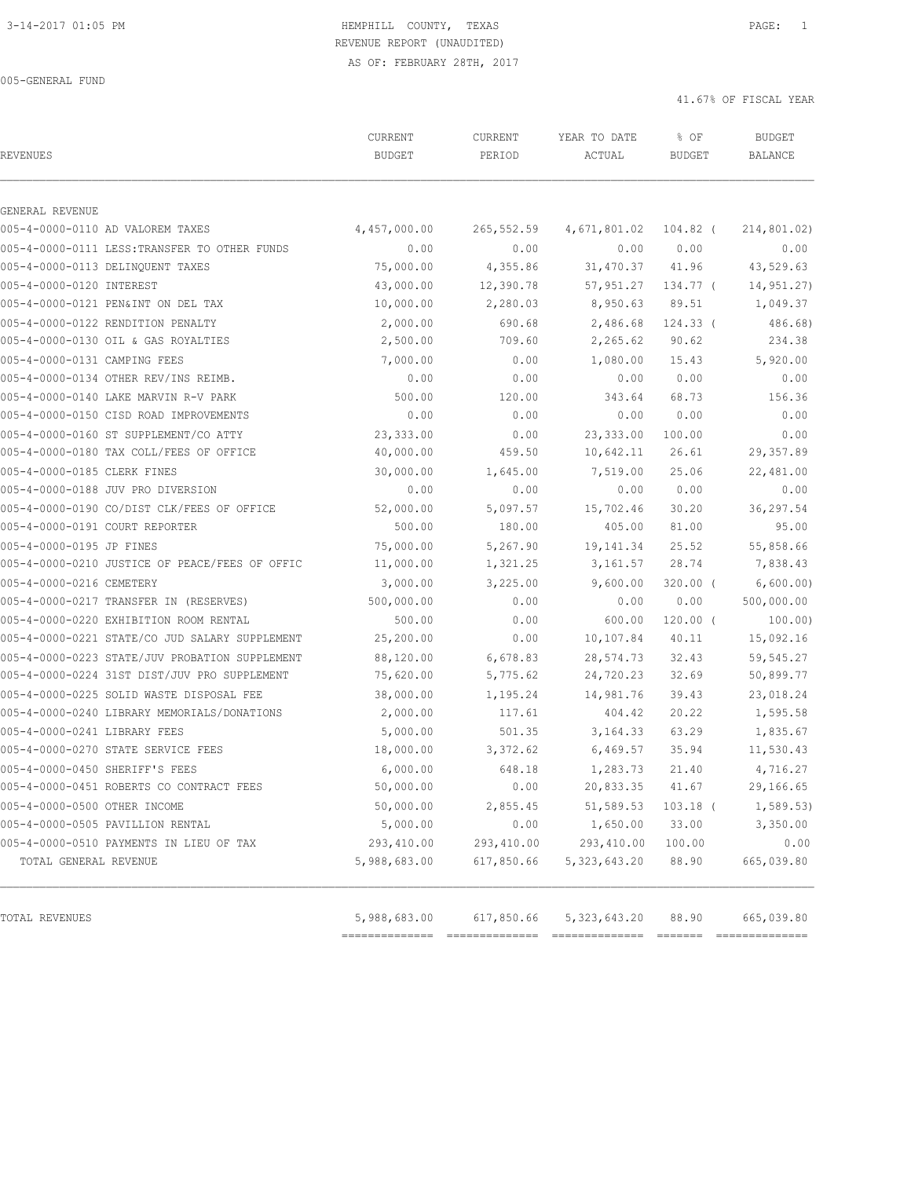# 3-14-2017 01:05 PM HEMPHILL COUNTY, TEXAS PAGE: 1 REVENUE REPORT (UNAUDITED)

AS OF: FEBRUARY 28TH, 2017

005-GENERAL FUND

| <b>REVENUES</b>                                | CURRENT<br><b>BUDGET</b> | CURRENT<br>PERIOD | YEAR TO DATE<br>ACTUAL | % OF<br><b>BUDGET</b> | <b>BUDGET</b><br>BALANCE |
|------------------------------------------------|--------------------------|-------------------|------------------------|-----------------------|--------------------------|
| GENERAL REVENUE                                |                          |                   |                        |                       |                          |
| 005-4-0000-0110 AD VALOREM TAXES               | 4,457,000.00             | 265,552.59        | 4,671,801.02           | 104.82 (              | 214,801.02)              |
| 005-4-0000-0111 LESS: TRANSFER TO OTHER FUNDS  | 0.00                     | 0.00              | 0.00                   | 0.00                  | 0.00                     |
| 005-4-0000-0113 DELINOUENT TAXES               | 75,000.00                | 4,355.86          | 31,470.37              | 41.96                 | 43,529.63                |
| 005-4-0000-0120 INTEREST                       | 43,000.00                | 12,390.78         | 57,951.27              | 134.77 (              | 14,951.27)               |
| 005-4-0000-0121 PEN&INT ON DEL TAX             | 10,000.00                | 2,280.03          | 8,950.63               | 89.51                 | 1,049.37                 |
| 005-4-0000-0122 RENDITION PENALTY              | 2,000.00                 | 690.68            | 2,486.68               | $124.33$ (            | 486.68)                  |
| 005-4-0000-0130 OIL & GAS ROYALTIES            | 2,500.00                 | 709.60            | 2,265.62               | 90.62                 | 234.38                   |
| 005-4-0000-0131 CAMPING FEES                   | 7,000.00                 | 0.00              | 1,080.00               | 15.43                 | 5,920.00                 |
| 005-4-0000-0134 OTHER REV/INS REIMB.           | 0.00                     | 0.00              | 0.00                   | 0.00                  | 0.00                     |
| 005-4-0000-0140 LAKE MARVIN R-V PARK           | 500.00                   | 120.00            | 343.64                 | 68.73                 | 156.36                   |
| 005-4-0000-0150 CISD ROAD IMPROVEMENTS         | 0.00                     | 0.00              | 0.00                   | 0.00                  | 0.00                     |
| 005-4-0000-0160 ST SUPPLEMENT/CO ATTY          | 23,333.00                | 0.00              | 23, 333.00             | 100.00                | 0.00                     |
| 005-4-0000-0180 TAX COLL/FEES OF OFFICE        | 40,000.00                | 459.50            | 10,642.11              | 26.61                 | 29,357.89                |
| 005-4-0000-0185 CLERK FINES                    | 30,000.00                | 1,645.00          | 7,519.00               | 25.06                 | 22,481.00                |
| 005-4-0000-0188 JUV PRO DIVERSION              | 0.00                     | 0.00              | 0.00                   | 0.00                  | 0.00                     |
| 005-4-0000-0190 CO/DIST CLK/FEES OF OFFICE     | 52,000.00                | 5,097.57          | 15,702.46              | 30.20                 | 36,297.54                |
| 005-4-0000-0191 COURT REPORTER                 | 500.00                   | 180.00            | 405.00                 | 81.00                 | 95.00                    |
| 005-4-0000-0195 JP FINES                       | 75,000.00                | 5,267.90          | 19, 141.34             | 25.52                 | 55,858.66                |
| 005-4-0000-0210 JUSTICE OF PEACE/FEES OF OFFIC | 11,000.00                | 1,321.25          | 3,161.57               | 28.74                 | 7,838.43                 |
| 005-4-0000-0216 CEMETERY                       | 3,000.00                 | 3,225.00          | 9,600.00               | $320.00$ (            | 6,600.00)                |
| 005-4-0000-0217 TRANSFER IN (RESERVES)         | 500,000.00               | 0.00              | 0.00                   | 0.00                  | 500,000.00               |
| 005-4-0000-0220 EXHIBITION ROOM RENTAL         | 500.00                   | 0.00              | 600.00                 | $120.00$ (            | 100.00)                  |
| 005-4-0000-0221 STATE/CO JUD SALARY SUPPLEMENT | 25,200.00                | 0.00              | 10,107.84              | 40.11                 | 15,092.16                |
| 005-4-0000-0223 STATE/JUV PROBATION SUPPLEMENT | 88,120.00                | 6,678.83          | 28,574.73              | 32.43                 | 59, 545.27               |
| 005-4-0000-0224 31ST DIST/JUV PRO SUPPLEMENT   | 75,620.00                | 5,775.62          | 24,720.23              | 32.69                 | 50,899.77                |
| 005-4-0000-0225 SOLID WASTE DISPOSAL FEE       | 38,000.00                | 1,195.24          | 14,981.76              | 39.43                 | 23,018.24                |
| 005-4-0000-0240 LIBRARY MEMORIALS/DONATIONS    | 2,000.00                 | 117.61            | 404.42                 | 20.22                 | 1,595.58                 |
| 005-4-0000-0241 LIBRARY FEES                   | 5,000.00                 | 501.35            | 3, 164. 33             | 63.29                 | 1,835.67                 |
| 005-4-0000-0270 STATE SERVICE FEES             | 18,000.00                | 3,372.62          | 6,469.57               | 35.94                 | 11,530.43                |
| 005-4-0000-0450 SHERIFF'S FEES                 | 6,000.00                 | 648.18            | 1,283.73               | 21.40                 | 4,716.27                 |
| 005-4-0000-0451 ROBERTS CO CONTRACT FEES       | 50,000.00                | 0.00              | 20,833.35              | 41.67                 | 29,166.65                |
| 005-4-0000-0500 OTHER INCOME                   | 50,000.00                | 2,855.45          | 51,589.53              | $103.18$ (            | 1, 589.53                |
| 005-4-0000-0505 PAVILLION RENTAL               | 5,000.00                 | 0.00              | 1,650.00               | 33.00                 | 3,350.00                 |
| 005-4-0000-0510 PAYMENTS IN LIEU OF TAX        | 293,410.00               | 293,410.00        | 293,410.00             | 100.00                | 0.00                     |
| TOTAL GENERAL REVENUE                          | 5,988,683.00             | 617,850.66        | 5, 323, 643.20         | 88.90                 | 665,039.80               |
| TOTAL REVENUES                                 | 5,988,683.00             | 617,850.66        | 5, 323, 643.20         | 88.90                 | 665,039.80               |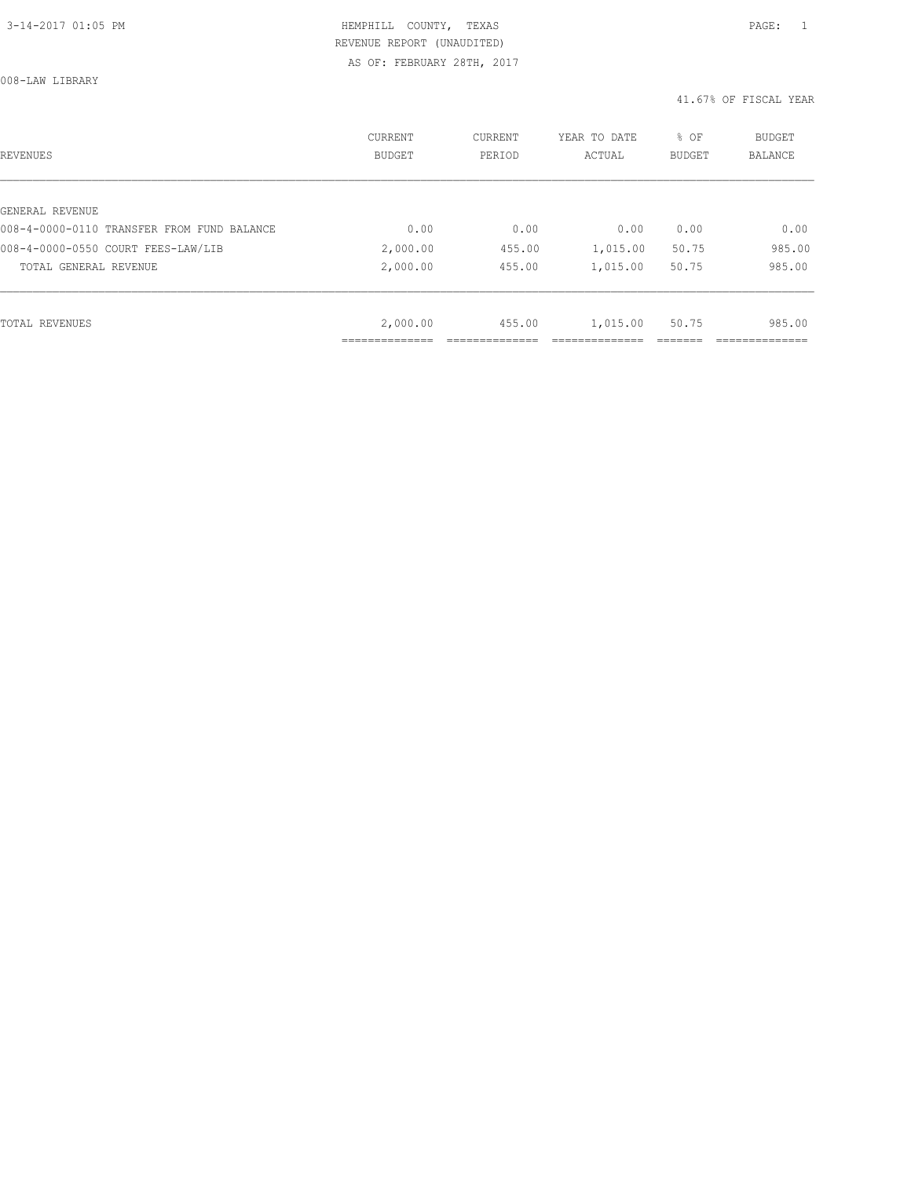008-LAW LIBRARY

| REVENUES                                   | <b>CURRENT</b><br><b>BUDGET</b> | CURRENT<br>PERIOD | YEAR TO DATE<br>ACTUAL | % OF<br><b>BUDGET</b> | BUDGET<br><b>BALANCE</b> |
|--------------------------------------------|---------------------------------|-------------------|------------------------|-----------------------|--------------------------|
|                                            |                                 |                   |                        |                       |                          |
| GENERAL REVENUE                            |                                 |                   |                        |                       |                          |
| 008-4-0000-0110 TRANSFER FROM FUND BALANCE | 0.00                            | 0.00              | 0.00                   | 0.00                  | 0.00                     |
| 008-4-0000-0550 COURT FEES-LAW/LIB         | 2,000.00                        | 455.00            | 1,015.00               | 50.75                 | 985.00                   |
| TOTAL GENERAL REVENUE                      | 2,000.00                        | 455.00            | 1,015.00               | 50.75                 | 985.00                   |
|                                            |                                 |                   |                        |                       |                          |
| TOTAL REVENUES                             | 2,000.00                        | 455.00            | 1,015.00               | 50.75                 | 985.00                   |
|                                            |                                 |                   |                        |                       |                          |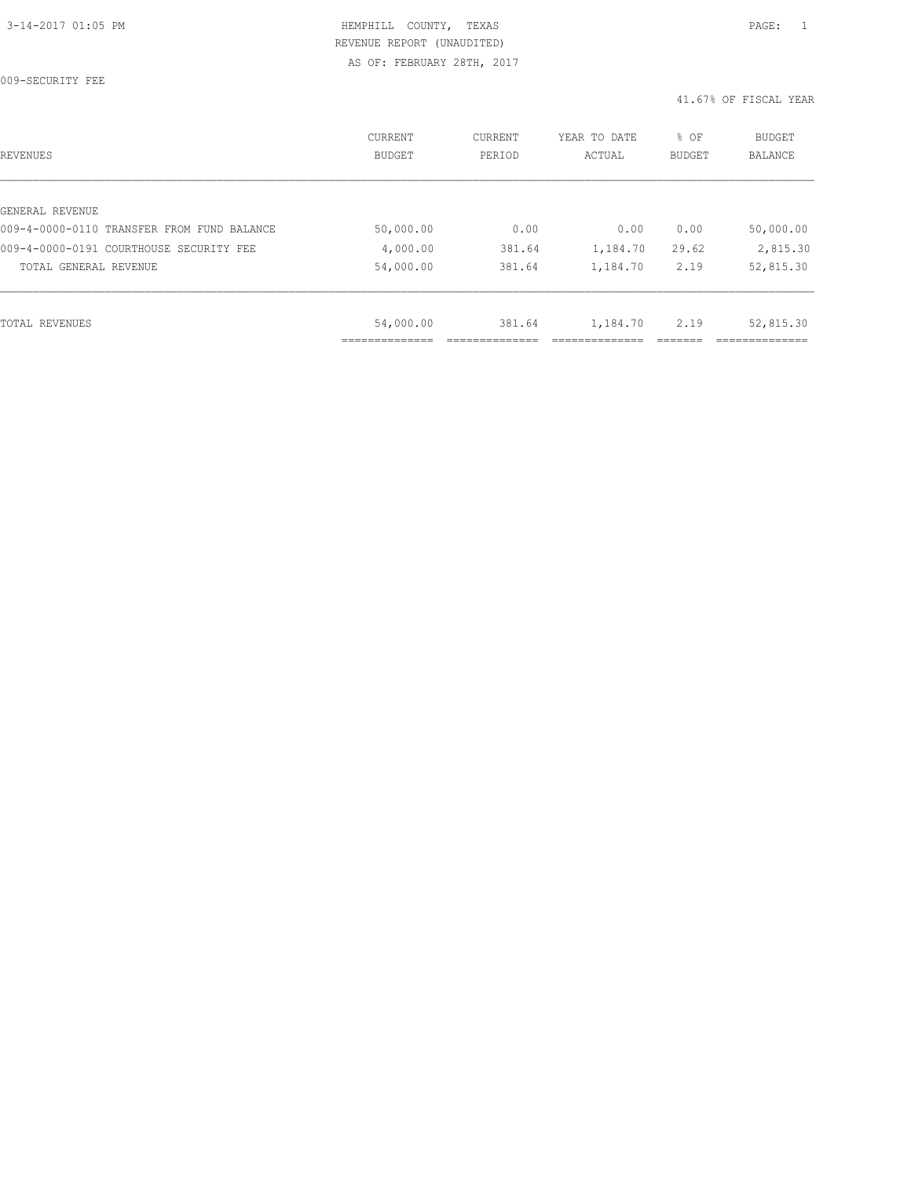009-SECURITY FEE

| REVENUES                                   | CURRENT<br><b>BUDGET</b> | CURRENT<br>PERIOD | YEAR TO DATE<br>ACTUAL | % OF<br>BUDGET | BUDGET<br><b>BALANCE</b> |
|--------------------------------------------|--------------------------|-------------------|------------------------|----------------|--------------------------|
|                                            |                          |                   |                        |                |                          |
| GENERAL REVENUE                            |                          |                   |                        |                |                          |
| 009-4-0000-0110 TRANSFER FROM FUND BALANCE | 50,000.00                | 0.00              | 0.00                   | 0.00           | 50,000.00                |
| 009-4-0000-0191 COURTHOUSE SECURITY FEE    | 4,000.00                 | 381.64            | 1,184.70               | 29.62          | 2,815.30                 |
| TOTAL GENERAL REVENUE                      | 54,000.00                | 381.64            | 1,184.70               | 2.19           | 52,815.30                |
|                                            |                          |                   |                        |                |                          |
| TOTAL REVENUES                             | 54,000.00                | 381.64            | 1,184.70               | 2.19           | 52,815.30                |
|                                            |                          |                   |                        |                |                          |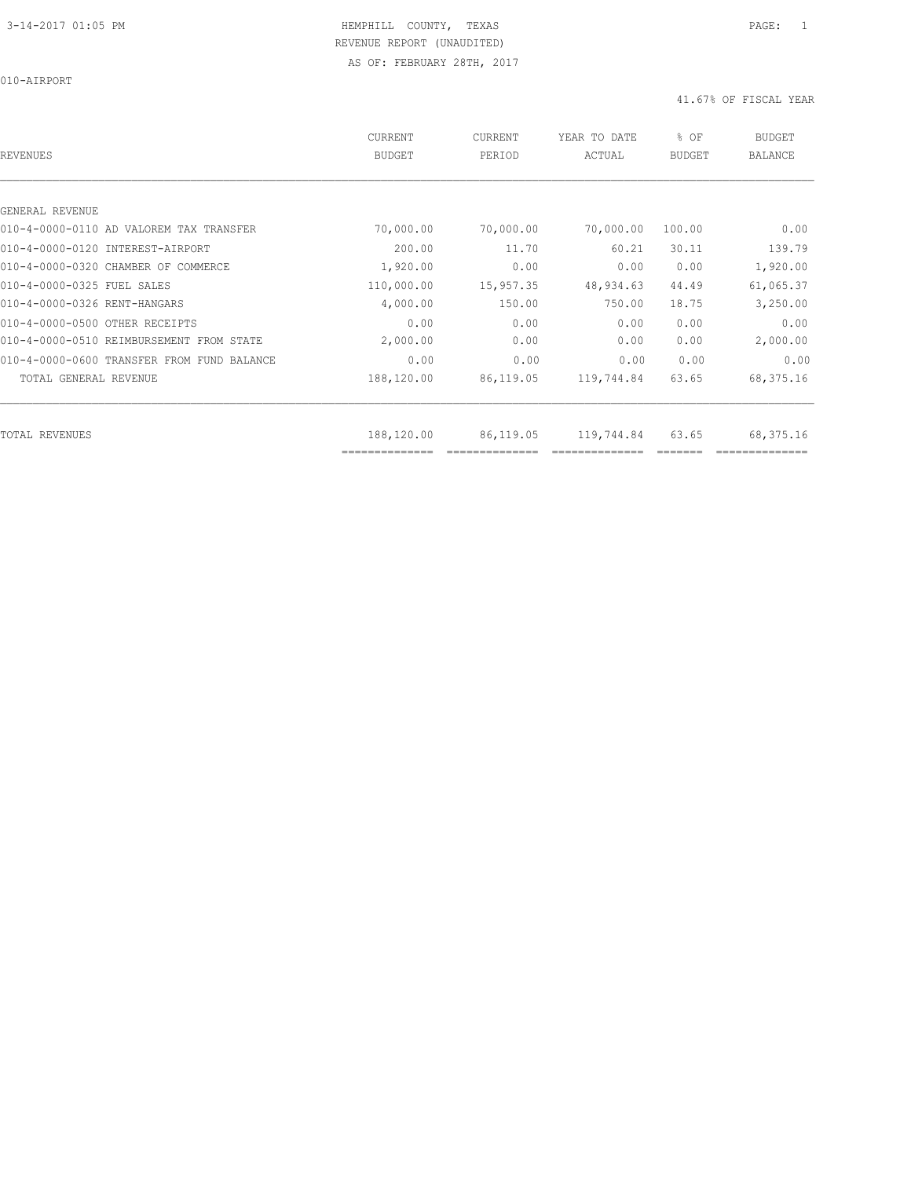010-AIRPORT

| REVENUES                                   | <b>CURRENT</b><br><b>BUDGET</b> | CURRENT<br>PERIOD | YEAR TO DATE<br>ACTUAL | % OF<br><b>BUDGET</b> | <b>BUDGET</b><br>BALANCE |
|--------------------------------------------|---------------------------------|-------------------|------------------------|-----------------------|--------------------------|
|                                            |                                 |                   |                        |                       |                          |
| GENERAL REVENUE                            |                                 |                   |                        |                       |                          |
| 010-4-0000-0110 AD VALOREM TAX TRANSFER    | 70,000.00                       | 70,000.00         | 70,000.00              | 100.00                | 0.00                     |
| 010-4-0000-0120 INTEREST-AIRPORT           | 200.00                          | 11.70             | 60.21                  | 30.11                 | 139.79                   |
| 010-4-0000-0320 CHAMBER OF COMMERCE        | 1,920.00                        | 0.00              | 0.00                   | 0.00                  | 1,920.00                 |
| 010-4-0000-0325 FUEL SALES                 | 110,000.00                      | 15,957.35         | 48,934.63              | 44.49                 | 61,065.37                |
| 010-4-0000-0326 RENT-HANGARS               | 4,000.00                        | 150.00            | 750.00                 | 18.75                 | 3,250.00                 |
| 010-4-0000-0500 OTHER RECEIPTS             | 0.00                            | 0.00              | 0.00                   | 0.00                  | 0.00                     |
| 010-4-0000-0510 REIMBURSEMENT FROM STATE   | 2,000.00                        | 0.00              | 0.00                   | 0.00                  | 2,000.00                 |
| 010-4-0000-0600 TRANSFER FROM FUND BALANCE | 0.00                            | 0.00              | 0.00                   | 0.00                  | 0.00                     |
| TOTAL GENERAL REVENUE                      | 188,120.00                      | 86,119.05         | 119,744.84             | 63.65                 | 68,375.16                |
| TOTAL REVENUES                             | 188,120.00                      | 86,119.05         | 119,744.84             | 63.65                 | 68,375.16                |
|                                            | ==============                  |                   |                        |                       |                          |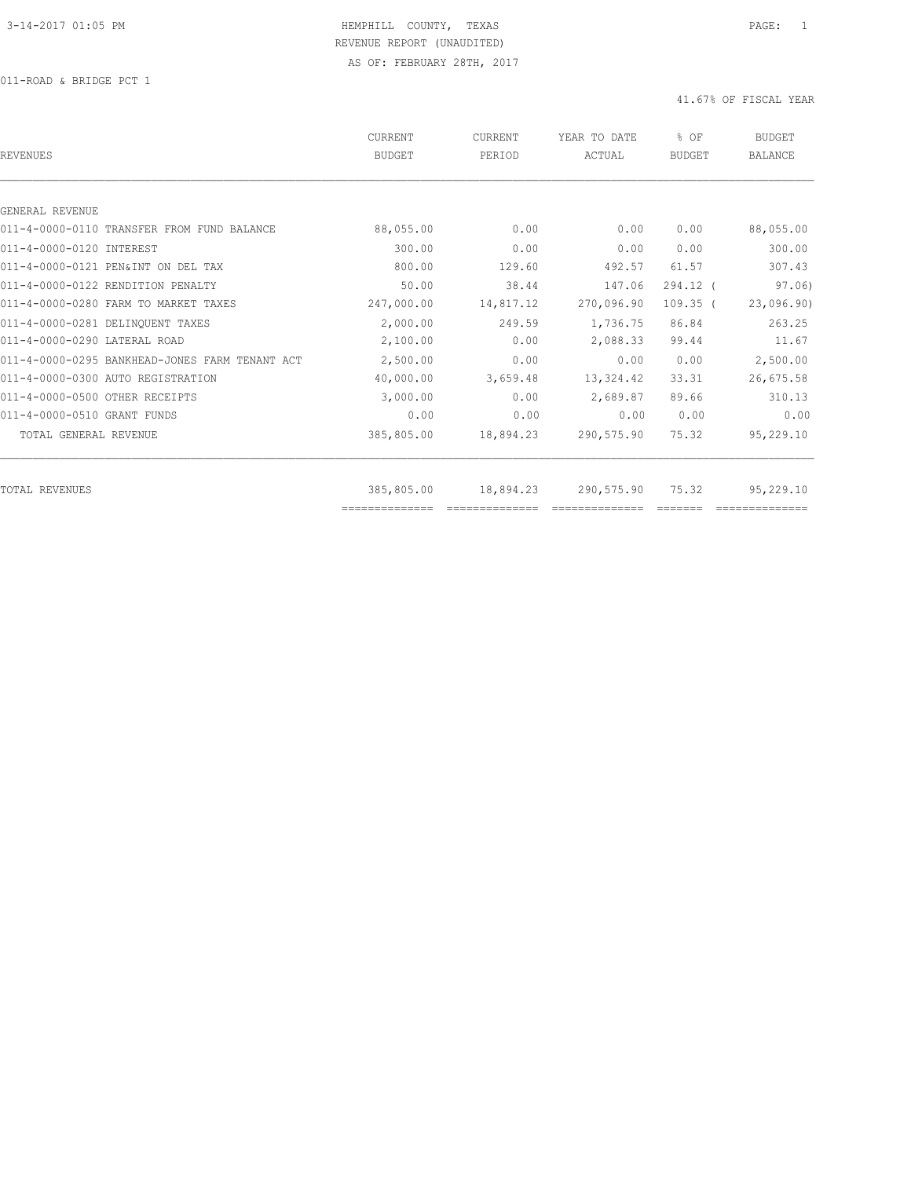011-ROAD & BRIDGE PCT 1

| REVENUES                                       | CURRENT<br><b>BUDGET</b>     | CURRENT<br>PERIOD | YEAR TO DATE<br>ACTUAL | % OF<br><b>BUDGET</b> | <b>BUDGET</b><br><b>BALANCE</b> |
|------------------------------------------------|------------------------------|-------------------|------------------------|-----------------------|---------------------------------|
|                                                |                              |                   |                        |                       |                                 |
| GENERAL REVENUE                                |                              |                   |                        |                       |                                 |
| 011-4-0000-0110 TRANSFER FROM FUND BALANCE     | 88,055.00                    | 0.00              | 0.00                   | 0.00                  | 88,055.00                       |
| 011-4-0000-0120 INTEREST                       | 300.00                       | 0.00              | 0.00                   | 0.00                  | 300.00                          |
| 011-4-0000-0121 PEN&INT ON DEL TAX             | 800.00                       | 129.60            | 492.57                 | 61.57                 | 307.43                          |
| 011-4-0000-0122 RENDITION PENALTY              | 50.00                        | 38.44             | 147.06                 | $294.12$ (            | 97.06)                          |
| 011-4-0000-0280 FARM TO MARKET TAXES           | 247,000.00                   | 14,817.12         | 270,096.90             | $109.35$ (            | 23,096.90)                      |
| 011-4-0000-0281 DELINQUENT TAXES               | 2,000.00                     | 249.59            | 1,736.75               | 86.84                 | 263.25                          |
| 011-4-0000-0290 LATERAL ROAD                   | 2,100.00                     | 0.00              | 2,088.33               | 99.44                 | 11.67                           |
| 011-4-0000-0295 BANKHEAD-JONES FARM TENANT ACT | 2,500.00                     | 0.00              | 0.00                   | 0.00                  | 2,500.00                        |
| 011-4-0000-0300 AUTO REGISTRATION              | 40,000.00                    | 3,659.48          | 13, 324.42             | 33.31                 | 26,675.58                       |
| 011-4-0000-0500 OTHER RECEIPTS                 | 3,000.00                     | 0.00              | 2,689.87               | 89.66                 | 310.13                          |
| 011-4-0000-0510 GRANT FUNDS                    | 0.00                         | 0.00              | 0.00                   | 0.00                  | 0.00                            |
| TOTAL GENERAL REVENUE                          | 385,805.00                   | 18,894.23         | 290,575.90             | 75.32                 | 95,229.10                       |
|                                                |                              |                   |                        |                       |                                 |
| TOTAL REVENUES                                 | 385,805.00<br>============== | 18,894.23         | 290,575.90             | 75.32                 | 95,229.10                       |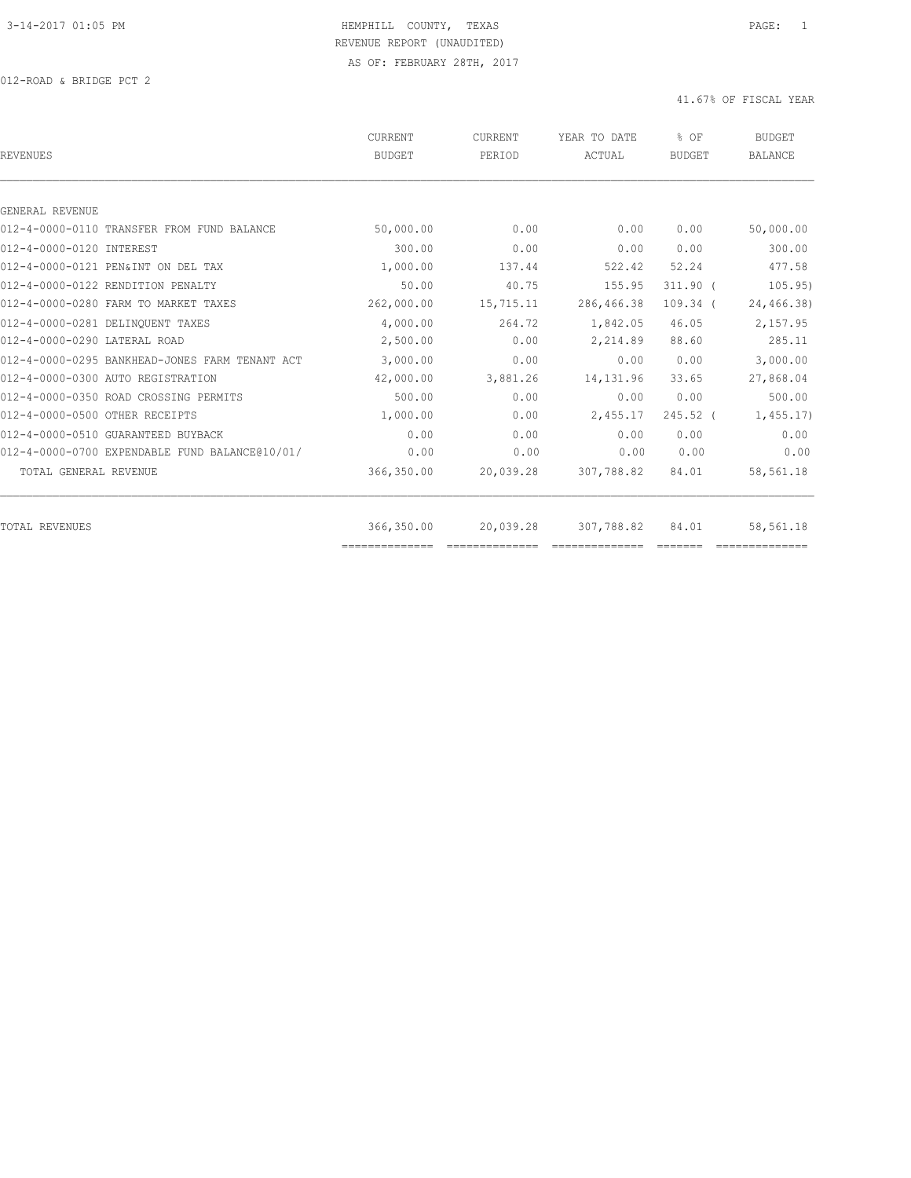| <b>REVENUES</b>                                | CURRENT<br><b>BUDGET</b> | CURRENT<br>PERIOD | YEAR TO DATE<br>ACTUAL | % OF<br><b>BUDGET</b> | <b>BUDGET</b><br><b>BALANCE</b> |
|------------------------------------------------|--------------------------|-------------------|------------------------|-----------------------|---------------------------------|
|                                                |                          |                   |                        |                       |                                 |
| GENERAL REVENUE                                |                          |                   |                        |                       |                                 |
| 012-4-0000-0110 TRANSFER FROM FUND BALANCE     | 50,000.00                | 0.00              | 0.00                   | 0.00                  | 50,000.00                       |
| 012-4-0000-0120 INTEREST                       | 300.00                   | 0.00              | 0.00                   | 0.00                  | 300.00                          |
| 012-4-0000-0121 PEN&INT ON DEL TAX             | 1,000.00                 | 137.44            | 522.42                 | 52.24                 | 477.58                          |
| 012-4-0000-0122 RENDITION PENALTY              | 50.00                    | 40.75             | 155.95                 | $311.90$ (            | 105.95)                         |
| 012-4-0000-0280 FARM TO MARKET TAXES           | 262,000.00               | 15,715.11         | 286,466.38             | $109.34$ (            | 24,466.38)                      |
| 012-4-0000-0281 DELINOUENT TAXES               | 4,000.00                 | 264.72            | 1,842.05               | 46.05                 | 2,157.95                        |
| 012-4-0000-0290 LATERAL ROAD                   | 2,500.00                 | 0.00              | 2,214.89               | 88.60                 | 285.11                          |
| 012-4-0000-0295 BANKHEAD-JONES FARM TENANT ACT | 3,000.00                 | 0.00              | 0.00                   | 0.00                  | 3,000.00                        |
| 012-4-0000-0300 AUTO REGISTRATION              | 42,000.00                | 3,881.26          | 14, 131.96             | 33.65                 | 27,868.04                       |
| 012-4-0000-0350 ROAD CROSSING PERMITS          | 500.00                   | 0.00              | 0.00                   | 0.00                  | 500.00                          |
| 012-4-0000-0500 OTHER RECEIPTS                 | 1,000.00                 | 0.00              | 2,455.17               | $245.52$ (            | 1,455.17                        |
| 012-4-0000-0510 GUARANTEED BUYBACK             | 0.00                     | 0.00              | 0.00                   | 0.00                  | 0.00                            |
| 012-4-0000-0700 EXPENDABLE FUND BALANCE@10/01/ | 0.00                     | 0.00              | 0.00                   | 0.00                  | 0.00                            |
| TOTAL GENERAL REVENUE                          | 366,350.00               | 20,039.28         | 307,788.82             | 84.01                 | 58,561.18                       |
| <b>TOTAL REVENUES</b>                          | 366,350.00               | 20,039.28         | 307,788.82             | 84.01                 | 58,561.18                       |
|                                                |                          |                   |                        |                       |                                 |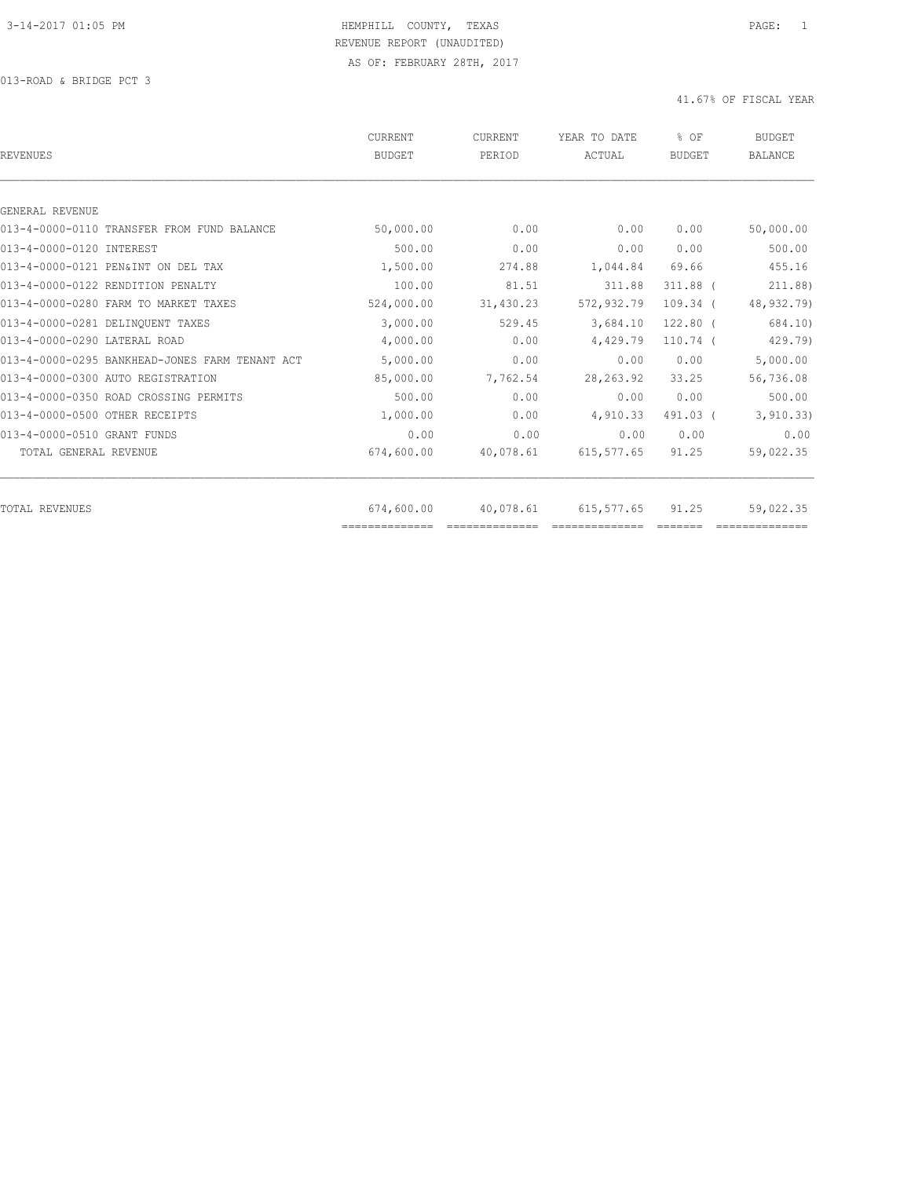| <b>REVENUES</b>                                | CURRENT<br><b>BUDGET</b>     | <b>CURRENT</b><br>PERIOD | YEAR TO DATE<br>ACTUAL | % OF<br><b>BUDGET</b> | <b>BUDGET</b><br><b>BALANCE</b> |
|------------------------------------------------|------------------------------|--------------------------|------------------------|-----------------------|---------------------------------|
|                                                |                              |                          |                        |                       |                                 |
| GENERAL REVENUE                                |                              |                          |                        |                       |                                 |
| 013-4-0000-0110 TRANSFER FROM FUND BALANCE     | 50,000.00                    | 0.00                     | 0.00                   | 0.00                  | 50,000.00                       |
| 013-4-0000-0120 INTEREST                       | 500.00                       | 0.00                     | 0.00                   | 0.00                  | 500.00                          |
| 013-4-0000-0121 PEN&INT ON DEL TAX             | 1,500.00                     | 274.88                   | 1,044.84               | 69.66                 | 455.16                          |
| 013-4-0000-0122 RENDITION PENALTY              | 100.00                       | 81.51                    | 311.88                 | $311.88$ (            | 211.88)                         |
| 013-4-0000-0280 FARM TO MARKET TAXES           | 524,000.00                   | 31,430.23                | 572,932.79             | $109.34$ (            | 48,932.79)                      |
| 013-4-0000-0281 DELINOUENT TAXES               | 3,000.00                     | 529.45                   | 3,684.10               | $122.80$ (            | 684.10)                         |
| 013-4-0000-0290 LATERAL ROAD                   | 4,000.00                     | 0.00                     | 4,429.79               | $110.74$ (            | 429.79)                         |
| 013-4-0000-0295 BANKHEAD-JONES FARM TENANT ACT | 5,000.00                     | 0.00                     | 0.00                   | 0.00                  | 5,000.00                        |
| 013-4-0000-0300 AUTO REGISTRATION              | 85,000.00                    | 7,762.54                 | 28, 263.92             | 33.25                 | 56,736.08                       |
| 013-4-0000-0350 ROAD CROSSING PERMITS          | 500.00                       | 0.00                     | 0.00                   | 0.00                  | 500.00                          |
| 013-4-0000-0500 OTHER RECEIPTS                 | 1,000.00                     | 0.00                     | 4,910.33               | 491.03 (              | 3, 910.33)                      |
| 013-4-0000-0510 GRANT FUNDS                    | 0.00                         | 0.00                     | 0.00                   | 0.00                  | 0.00                            |
| TOTAL GENERAL REVENUE                          | 674,600.00                   | 40,078.61                | 615,577.65             | 91.25                 | 59,022.35                       |
|                                                |                              |                          |                        |                       |                                 |
| TOTAL REVENUES                                 | 674,600.00<br>============== | 40,078.61                | 615,577.65             | 91.25                 | 59,022.35                       |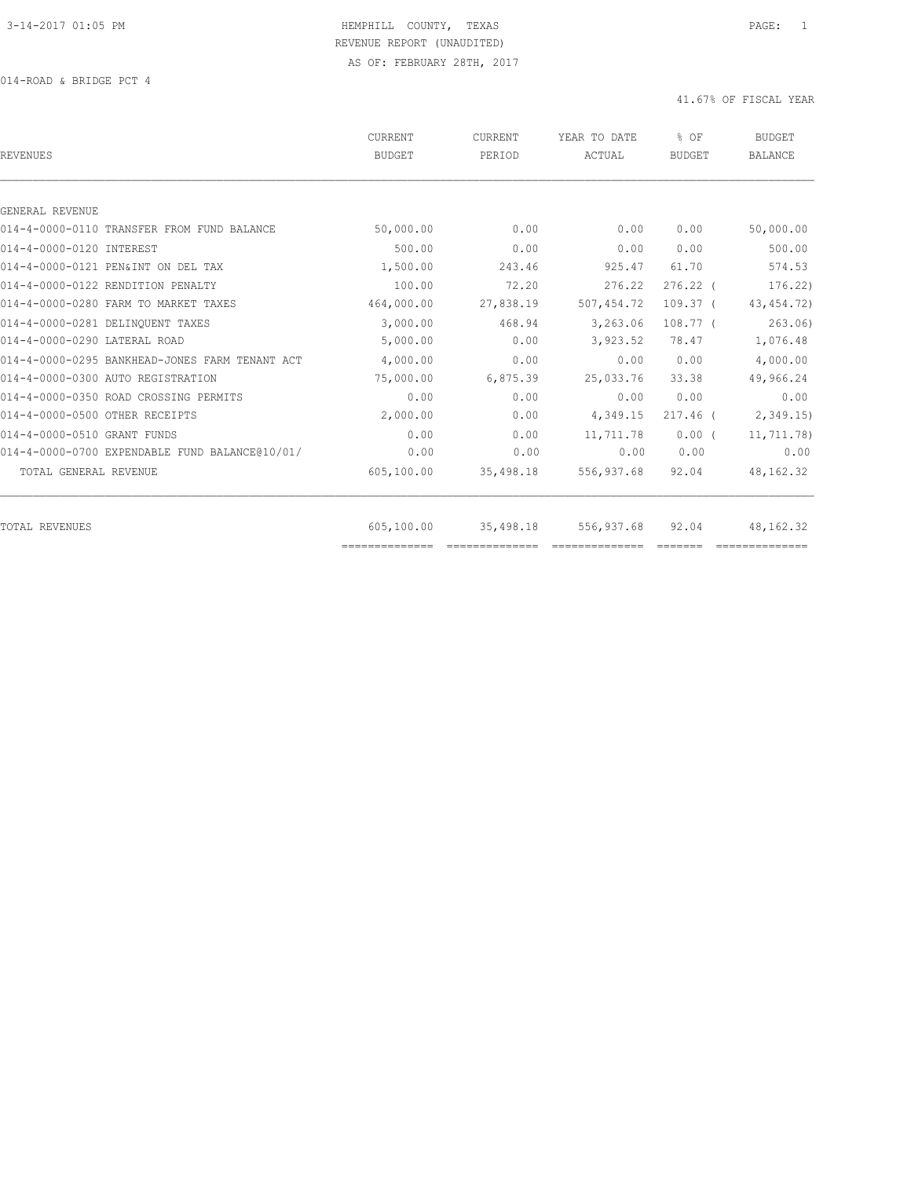| <b>REVENUES</b>                                               | CURRENT<br><b>BUDGET</b> | <b>CURRENT</b><br>PERIOD | YEAR TO DATE<br>ACTUAL | % OF<br><b>BUDGET</b> | <b>BUDGET</b><br><b>BALANCE</b> |
|---------------------------------------------------------------|--------------------------|--------------------------|------------------------|-----------------------|---------------------------------|
|                                                               |                          |                          |                        |                       |                                 |
| GENERAL REVENUE<br>014-4-0000-0110 TRANSFER FROM FUND BALANCE | 50,000.00                | 0.00                     | 0.00                   | 0.00                  | 50,000.00                       |
| 014-4-0000-0120 INTEREST                                      | 500.00                   | 0.00                     | 0.00                   | 0.00                  | 500.00                          |
|                                                               |                          |                          |                        |                       |                                 |
| 014-4-0000-0121 PEN&INT ON DEL TAX                            | 1,500.00                 | 243.46                   | 925.47                 | 61.70                 | 574.53                          |
| 014-4-0000-0122 RENDITION PENALTY                             | 100.00                   | 72.20                    | 276.22                 | $276.22$ (            | 176.22                          |
| 014-4-0000-0280 FARM TO MARKET TAXES                          | 464,000.00               | 27,838.19                | 507,454.72             | $109.37$ (            | 43, 454.72)                     |
| 014-4-0000-0281 DELINOUENT TAXES                              | 3,000.00                 | 468.94                   | 3,263.06               | $108.77-1$            | 263.06                          |
| 014-4-0000-0290 LATERAL ROAD                                  | 5,000.00                 | 0.00                     | 3,923.52               | 78.47                 | 1,076.48                        |
| 014-4-0000-0295 BANKHEAD-JONES FARM TENANT ACT                | 4,000.00                 | 0.00                     | 0.00                   | 0.00                  | 4,000.00                        |
| 014-4-0000-0300 AUTO REGISTRATION                             | 75,000.00                | 6,875.39                 | 25,033.76              | 33.38                 | 49,966.24                       |
| 014-4-0000-0350 ROAD CROSSING PERMITS                         | 0.00                     | 0.00                     | 0.00                   | 0.00                  | 0.00                            |
| 014-4-0000-0500 OTHER RECEIPTS                                | 2,000.00                 | 0.00                     | 4,349.15               | $217.46$ (            | 2,349.15                        |
| 014-4-0000-0510 GRANT FUNDS                                   | 0.00                     | 0.00                     | 11,711.78              | $0.00$ (              | 11,711.78)                      |
| 014-4-0000-0700 EXPENDABLE FUND BALANCE@10/01/                | 0.00                     | 0.00                     | 0.00                   | 0.00                  | 0.00                            |
| TOTAL GENERAL REVENUE                                         | 605,100.00               | 35,498.18                | 556,937.68             | 92.04                 | 48,162.32                       |
|                                                               |                          |                          |                        |                       |                                 |
| <b>TOTAL REVENUES</b>                                         | 605,100.00               | 35,498.18                | 556,937.68             | 92.04                 | 48, 162. 32                     |
|                                                               | ---------------          |                          |                        |                       |                                 |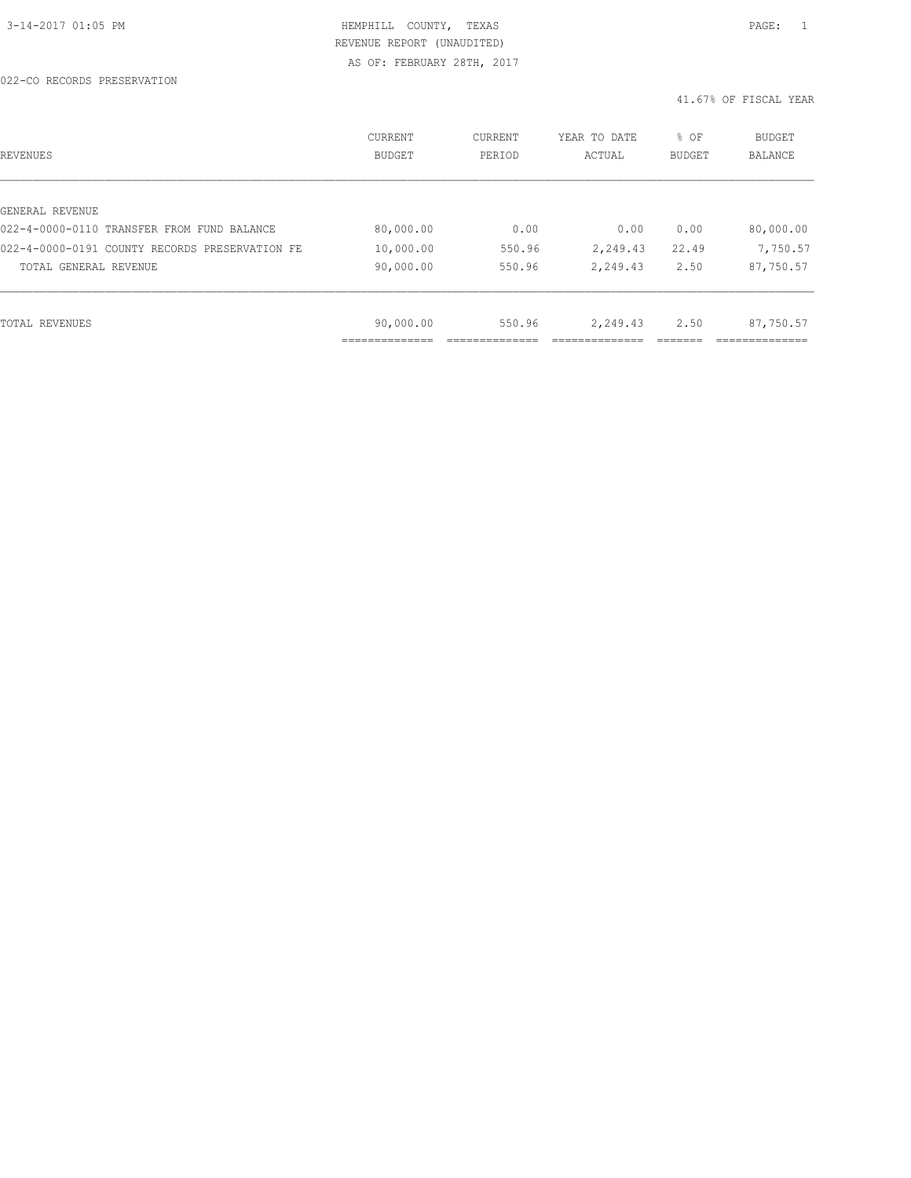| REVENUES                                       | CURRENT<br><b>BUDGET</b> | CURRENT<br>PERIOD | YEAR TO DATE<br>ACTUAL | % OF<br>BUDGET | <b>BUDGET</b><br><b>BALANCE</b> |
|------------------------------------------------|--------------------------|-------------------|------------------------|----------------|---------------------------------|
|                                                |                          |                   |                        |                |                                 |
| GENERAL REVENUE                                |                          |                   |                        |                |                                 |
| 022-4-0000-0110 TRANSFER FROM FUND BALANCE     | 80,000.00                | 0.00              | 0.00                   | 0.00           | 80,000.00                       |
| 022-4-0000-0191 COUNTY RECORDS PRESERVATION FE | 10,000.00                | 550.96            | 2,249.43               | 22.49          | 7,750.57                        |
| TOTAL GENERAL REVENUE                          | 90,000.00                | 550.96            | 2,249.43               | 2.50           | 87,750.57                       |
|                                                |                          |                   |                        |                |                                 |
|                                                |                          |                   |                        |                |                                 |
| TOTAL REVENUES                                 | 90,000.00                | 550.96            | 2,249.43               | 2.50           | 87,750.57                       |
|                                                |                          |                   |                        |                |                                 |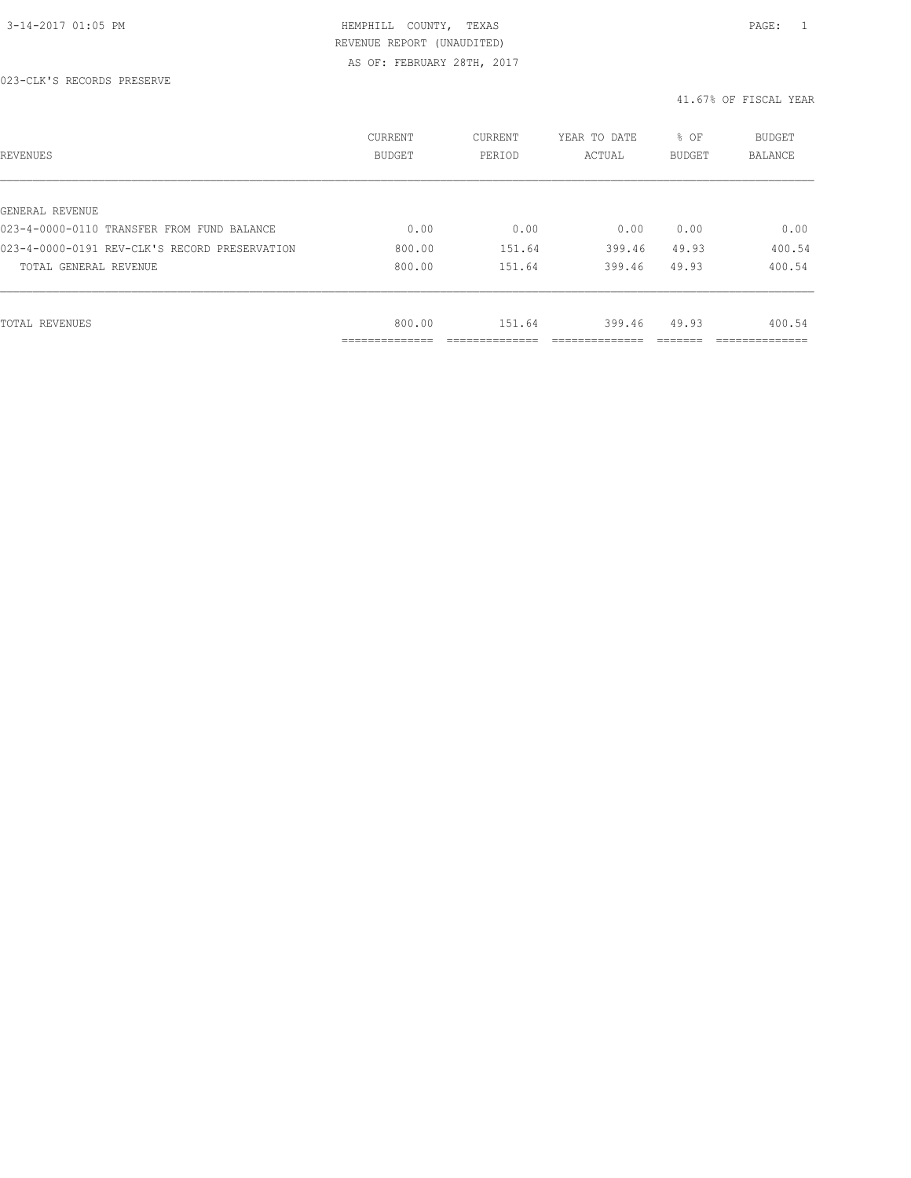| REVENUES                                      | CURRENT<br><b>BUDGET</b>     | CURRENT<br>PERIOD | YEAR TO DATE<br>ACTUAL | % OF<br>BUDGET | BUDGET<br>BALANCE |
|-----------------------------------------------|------------------------------|-------------------|------------------------|----------------|-------------------|
|                                               |                              |                   |                        |                |                   |
| GENERAL REVENUE                               |                              |                   |                        |                |                   |
| 023-4-0000-0110 TRANSFER FROM FUND BALANCE    | 0.00                         | 0.00              | 0.00                   | 0.00           | 0.00              |
| 023-4-0000-0191 REV-CLK'S RECORD PRESERVATION | 800.00                       | 151.64            | 399.46                 | 49.93          | 400.54            |
| TOTAL GENERAL REVENUE                         | 800.00                       | 151.64            | 399.46                 | 49.93          | 400.54            |
|                                               |                              |                   |                        |                |                   |
| TOTAL REVENUES                                | 800.00                       | 151.64            | 399.46                 | 49.93          | 400.54            |
|                                               | ------------<br>------------ |                   |                        |                | ___________       |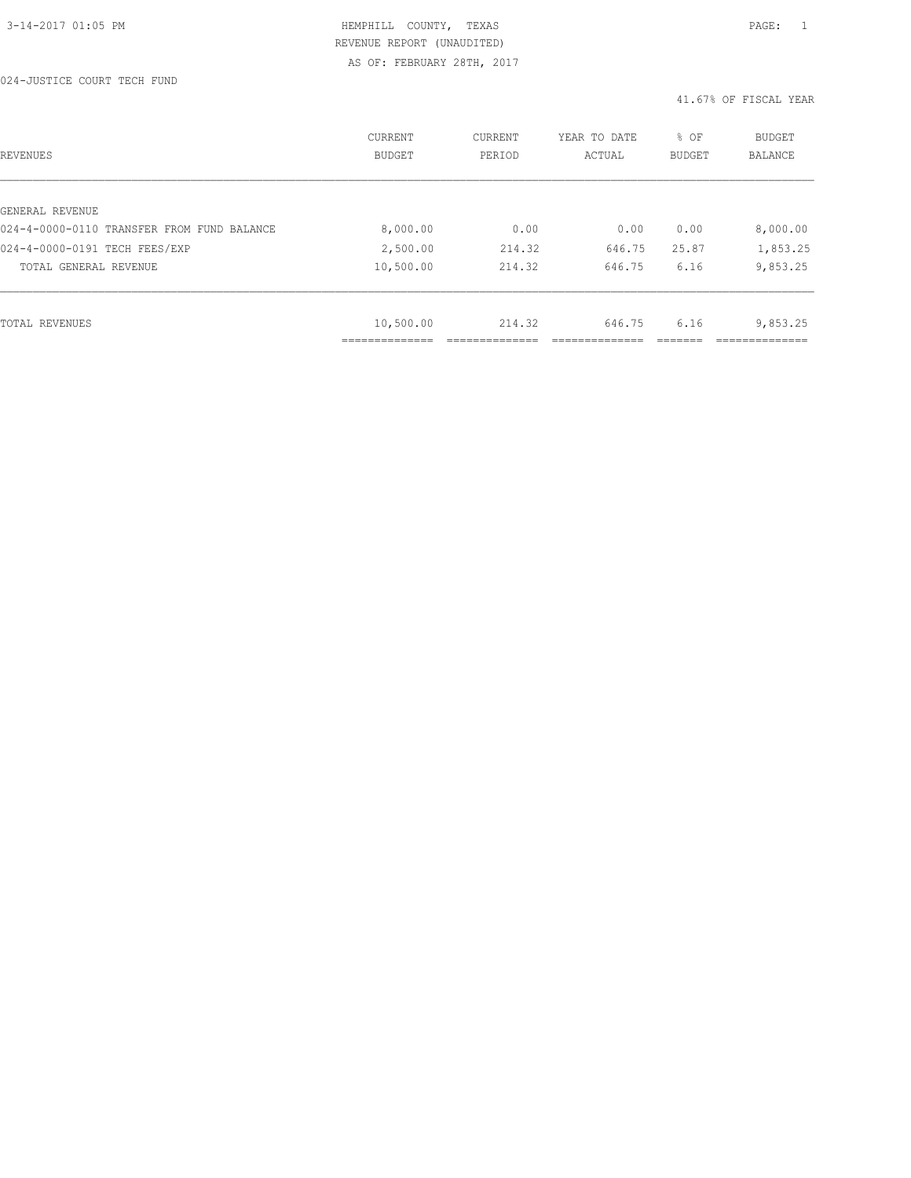| REVENUES                                   | CURRENT<br><b>BUDGET</b> | CURRENT<br>PERIOD | YEAR TO DATE<br>ACTUAL | % OF<br><b>BUDGET</b> | <b>BUDGET</b><br>BALANCE |
|--------------------------------------------|--------------------------|-------------------|------------------------|-----------------------|--------------------------|
|                                            |                          |                   |                        |                       |                          |
| GENERAL REVENUE                            |                          |                   |                        |                       |                          |
| 024-4-0000-0110 TRANSFER FROM FUND BALANCE | 8,000.00                 | 0.00              | 0.00                   | 0.00                  | 8,000.00                 |
| 024-4-0000-0191 TECH FEES/EXP              | 2,500.00                 | 214.32            | 646.75                 | 25.87                 | 1,853.25                 |
| TOTAL GENERAL REVENUE                      | 10,500.00                | 214.32            | 646.75                 | 6.16                  | 9,853.25                 |
|                                            |                          |                   |                        |                       |                          |
| TOTAL REVENUES                             | 10,500.00                | 214.32            | 646.75                 | 6.16                  | 9,853.25                 |
|                                            | -----------              |                   |                        |                       |                          |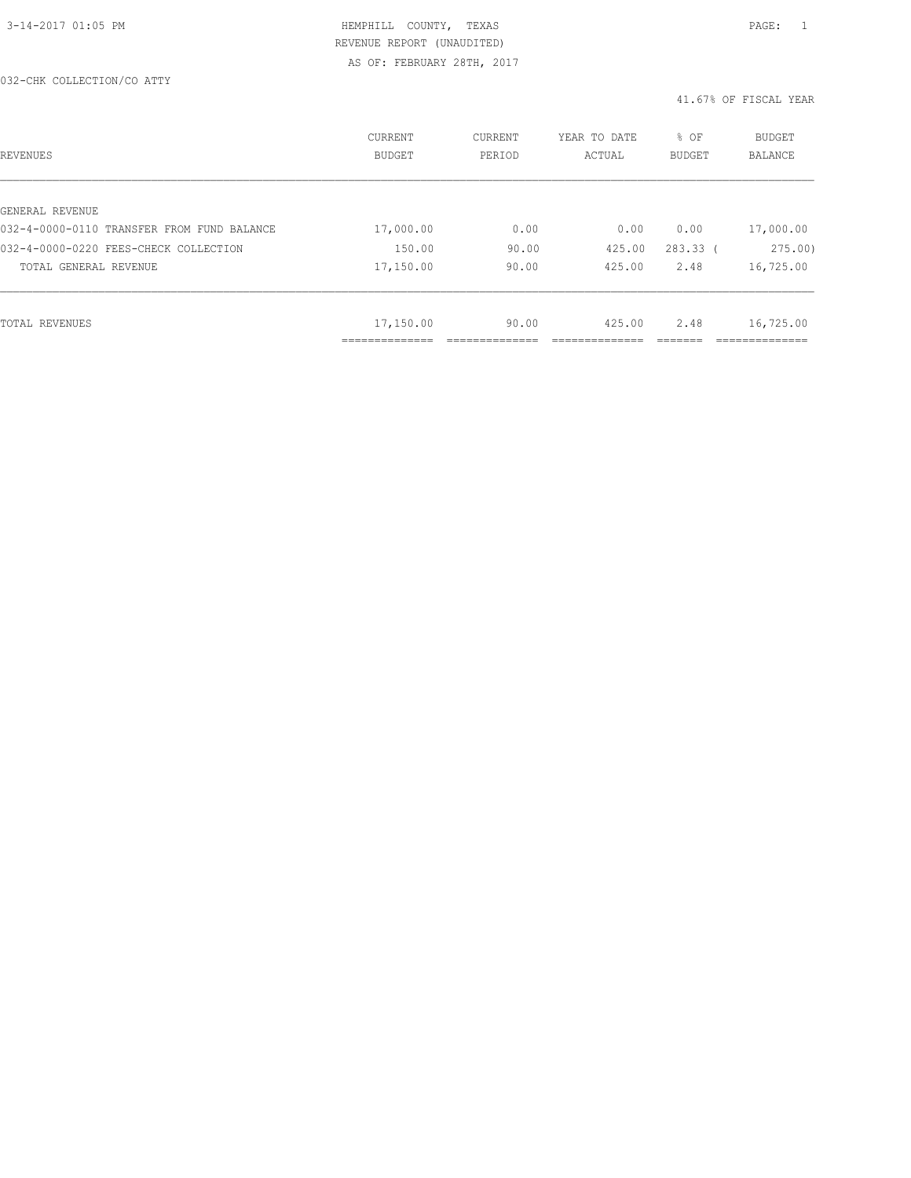| REVENUES                                   | CURRENT<br><b>BUDGET</b> | CURRENT<br>PERIOD | YEAR TO DATE<br>ACTUAL | % OF<br><b>BUDGET</b> | <b>BUDGET</b><br><b>BALANCE</b> |
|--------------------------------------------|--------------------------|-------------------|------------------------|-----------------------|---------------------------------|
|                                            |                          |                   |                        |                       |                                 |
| GENERAL REVENUE                            |                          |                   |                        |                       |                                 |
| 032-4-0000-0110 TRANSFER FROM FUND BALANCE | 17,000.00                | 0.00              | 0.00                   | 0.00                  | 17,000.00                       |
| 032-4-0000-0220 FEES-CHECK COLLECTION      | 150.00                   | 90.00             | 425.00                 | $283.33$ (            | 275.00                          |
| TOTAL GENERAL REVENUE                      | 17,150.00                | 90.00             | 425.00                 | 2.48                  | 16,725.00                       |
|                                            |                          |                   |                        |                       |                                 |
| TOTAL REVENUES                             | 17,150.00                | 90.00             | 425.00                 | 2.48                  | 16,725.00                       |
|                                            | ____________<br>.        |                   |                        |                       | -----------                     |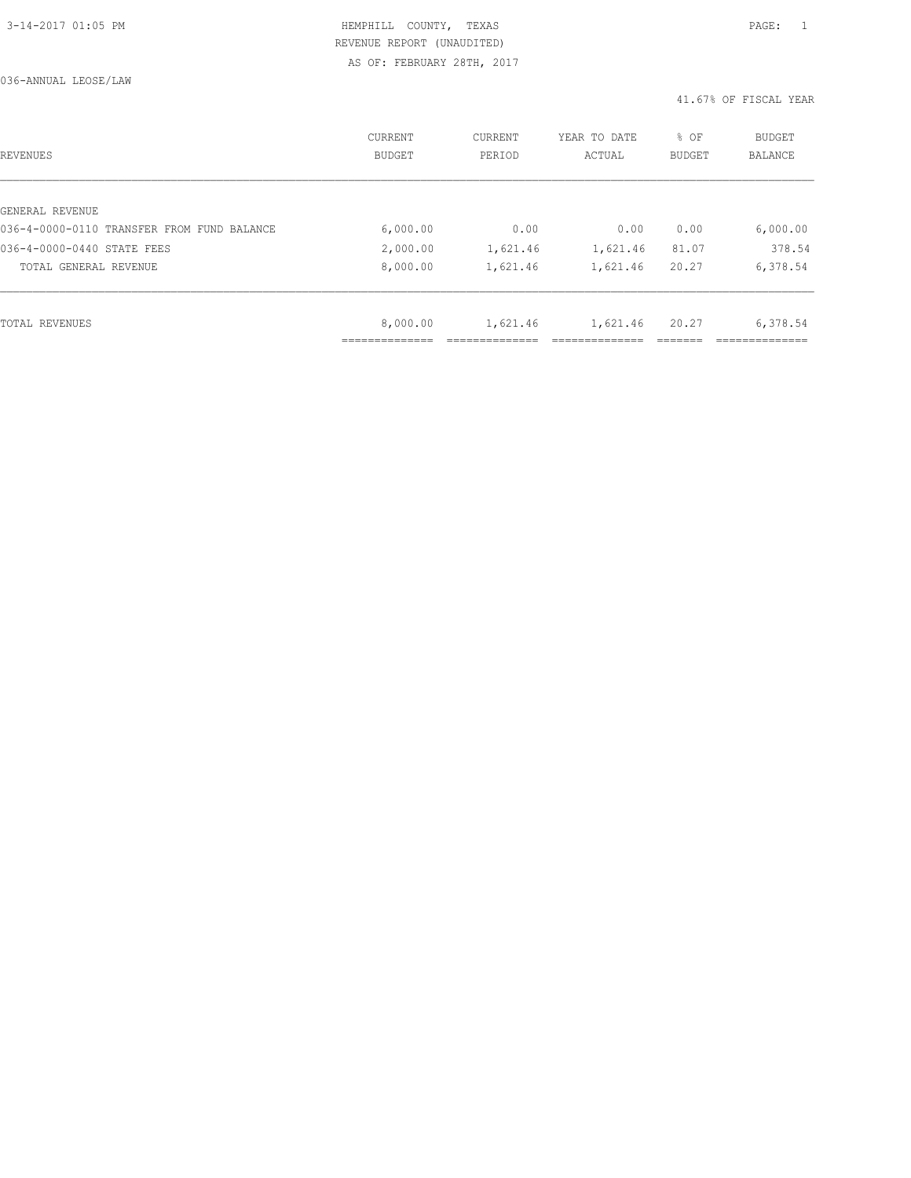036-ANNUAL LEOSE/LAW

| REVENUES                                   | CURRENT<br><b>BUDGET</b> | CURRENT<br>PERIOD | YEAR TO DATE<br>ACTUAL | % OF<br>BUDGET | <b>BUDGET</b><br>BALANCE |
|--------------------------------------------|--------------------------|-------------------|------------------------|----------------|--------------------------|
|                                            |                          |                   |                        |                |                          |
| GENERAL REVENUE                            |                          |                   |                        |                |                          |
| 036-4-0000-0110 TRANSFER FROM FUND BALANCE | 6,000.00                 | 0.00              | 0.00                   | 0.00           | 6,000.00                 |
| 036-4-0000-0440 STATE FEES                 | 2,000.00                 | 1,621.46          | 1,621.46               | 81.07          | 378.54                   |
| TOTAL GENERAL REVENUE                      | 8,000.00                 | 1,621.46          | 1,621.46               | 20.27          | 6,378.54                 |
|                                            |                          |                   |                        |                |                          |
| TOTAL REVENUES                             | 8,000.00                 | 1,621.46          | 1,621.46               | 20.27          | 6,378.54                 |
|                                            |                          |                   |                        |                |                          |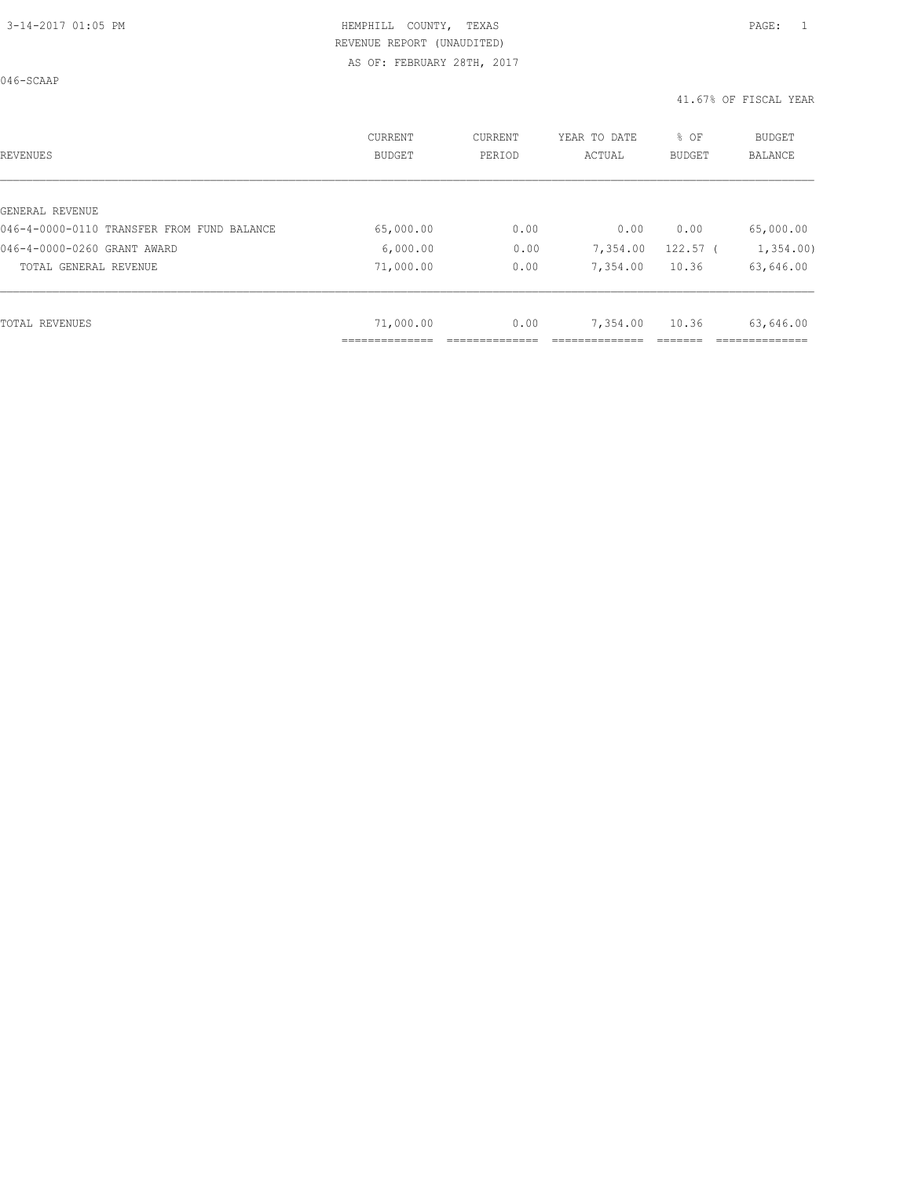046-SCAAP

| REVENUES                                   | CURRENT<br><b>BUDGET</b> | CURRENT<br>PERIOD | YEAR TO DATE<br>ACTUAL | % OF<br><b>BUDGET</b> | BUDGET<br><b>BALANCE</b> |
|--------------------------------------------|--------------------------|-------------------|------------------------|-----------------------|--------------------------|
|                                            |                          |                   |                        |                       |                          |
| GENERAL REVENUE                            |                          |                   |                        |                       |                          |
| 046-4-0000-0110 TRANSFER FROM FUND BALANCE | 65,000.00                | 0.00              | 0.00                   | 0.00                  | 65,000.00                |
| 046-4-0000-0260 GRANT AWARD                | 6,000.00                 | 0.00              | 7,354.00               | $122.57$ (            | 1,354.00                 |
| TOTAL GENERAL REVENUE                      | 71,000.00                | 0.00              | 7,354.00               | 10.36                 | 63,646.00                |
|                                            |                          |                   |                        |                       |                          |
| TOTAL REVENUES                             | 71,000.00                | 0.00              | 7,354.00               | 10.36                 | 63,646.00                |
|                                            |                          |                   |                        |                       |                          |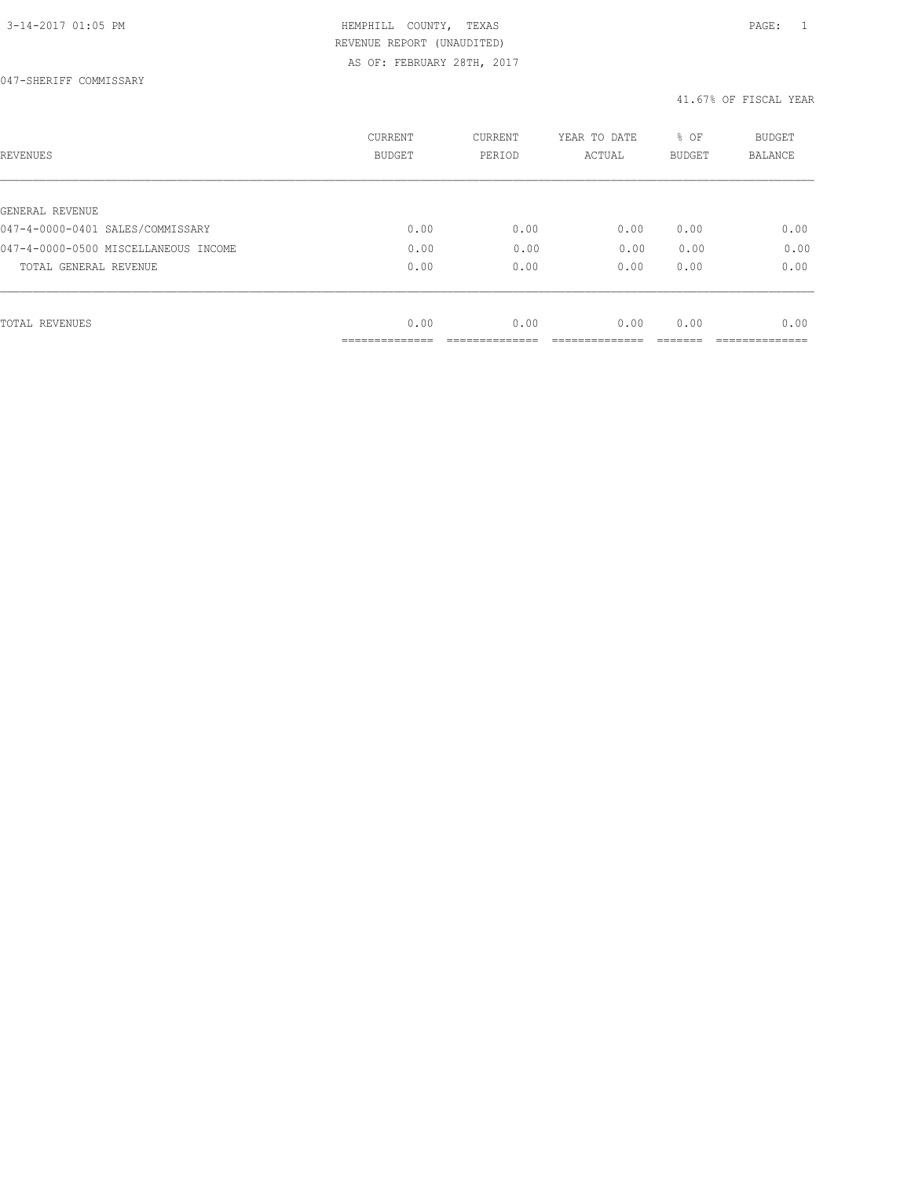047-SHERIFF COMMISSARY

| REVENUES                             | <b>CURRENT</b><br><b>BUDGET</b> | CURRENT<br>PERIOD | YEAR TO DATE<br>ACTUAL | % OF<br><b>BUDGET</b> | <b>BUDGET</b><br>BALANCE |
|--------------------------------------|---------------------------------|-------------------|------------------------|-----------------------|--------------------------|
|                                      |                                 |                   |                        |                       |                          |
| GENERAL REVENUE                      |                                 |                   |                        |                       |                          |
| 047-4-0000-0401 SALES/COMMISSARY     | 0.00                            | 0.00              | 0.00                   | 0.00                  | 0.00                     |
| 047-4-0000-0500 MISCELLANEOUS INCOME | 0.00                            | 0.00              | 0.00                   | 0.00                  | 0.00                     |
| TOTAL GENERAL REVENUE                | 0.00                            | 0.00              | 0.00                   | 0.00                  | 0.00                     |
|                                      |                                 |                   |                        |                       |                          |
| TOTAL REVENUES                       | 0.00                            | 0.00              | 0.00                   | 0.00                  | 0.00                     |
|                                      |                                 |                   |                        |                       |                          |